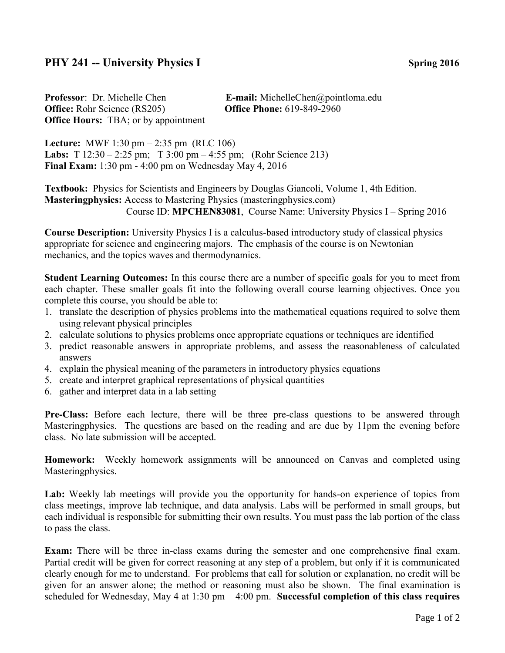## **PHY 241 -- University Physics I** Spring 2016

**Professor**: Dr. Michelle Chen **E-mail:** MichelleChen@pointloma.edu **Office:** Rohr Science (RS205) **Office Phone:** 619-849-2960 **Office Hours:** TBA; or by appointment

**Lecture:** MWF 1:30 pm – 2:35 pm (RLC 106) **Labs:** T 12:30 – 2:25 pm; T 3:00 pm – 4:55 pm; (Rohr Science 213) **Final Exam:** 1:30 pm - 4:00 pm on Wednesday May 4, 2016

**Textbook:** Physics for Scientists and Engineers by Douglas Giancoli, Volume 1, 4th Edition. **Masteringphysics:** Access to Mastering Physics (masteringphysics.com) Course ID: **MPCHEN83081**, Course Name: University Physics I – Spring 2016

**Course Description:** University Physics I is a calculus-based introductory study of classical physics appropriate for science and engineering majors. The emphasis of the course is on Newtonian mechanics, and the topics waves and thermodynamics.

**Student Learning Outcomes:** In this course there are a number of specific goals for you to meet from each chapter. These smaller goals fit into the following overall course learning objectives. Once you complete this course, you should be able to:

- 1. translate the description of physics problems into the mathematical equations required to solve them using relevant physical principles
- 2. calculate solutions to physics problems once appropriate equations or techniques are identified
- 3. predict reasonable answers in appropriate problems, and assess the reasonableness of calculated answers
- 4. explain the physical meaning of the parameters in introductory physics equations
- 5. create and interpret graphical representations of physical quantities
- 6. gather and interpret data in a lab setting

**Pre-Class:** Before each lecture, there will be three pre-class questions to be answered through Masteringphysics. The questions are based on the reading and are due by 11pm the evening before class. No late submission will be accepted.

**Homework:** Weekly homework assignments will be announced on Canvas and completed using Masteringphysics.

Lab: Weekly lab meetings will provide you the opportunity for hands-on experience of topics from class meetings, improve lab technique, and data analysis. Labs will be performed in small groups, but each individual is responsible for submitting their own results. You must pass the lab portion of the class to pass the class.

**Exam:** There will be three in-class exams during the semester and one comprehensive final exam. Partial credit will be given for correct reasoning at any step of a problem, but only if it is communicated clearly enough for me to understand. For problems that call for solution or explanation, no credit will be given for an answer alone; the method or reasoning must also be shown. The final examination is scheduled for Wednesday, May 4 at 1:30 pm – 4:00 pm. **Successful completion of this class requires**